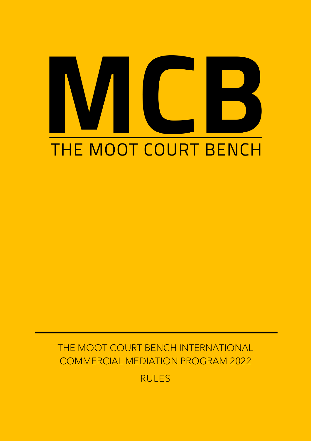# THE MOOT COURT BENCH

THE MOOT COURT BENCH INTERNATIONAL COMMERCIAL MEDIATION PROGRAM 2022

RULES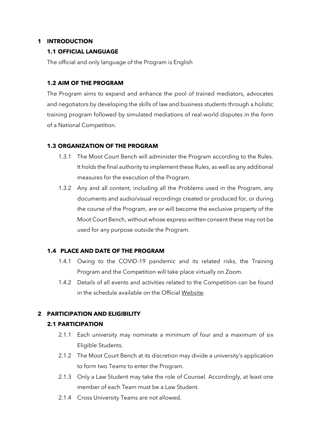# **1 INTRODUCTION**

### **1.1 OFFICIAL LANGUAGE**

The official and only language of the Program is English

#### **1.2 AIM OF THE PROGRAM**

The Program aims to expand and enhance the pool of trained mediators, advocates and negotiators by developing the skills of law and business students through a holistic training program followed by simulated mediations of real-world disputes in the form of a National Competition.

#### **1.3 ORGANIZATION OF THE PROGRAM**

- 1.3.1 The Moot Court Bench will administer the Program according to the Rules. It holds the final authority to implement these Rules, as well as any additional measures for the execution of the Program.
- 1.3.2 Any and all content, including all the Problems used in the Program, any documents and audio/visual recordings created or produced for, or during the course of the Program, are or will become the exclusive property of the Moot Court Bench, without whose express written consent these may not be used for any purpose outside the Program.

#### **1.4 PLACE AND DATE OF THE PROGRAM**

- 1.4.1 Owing to the COVID-19 pandemic and its related risks, the Training Program and the Competition will take place virtually on Zoom.
- 1.4.2 Details of all events and activities related to the Competition can be found in the schedule available on the Official [Website.](https://themootcourtbench.com/)

# **2 PARTICIPATION AND ELIGIBILITY**

#### **2.1 PARTICIPATION**

- 2.1.1 Each university may nominate a minimum of four and a maximum of six Eligible Students.
- 2.1.2 The Moot Court Bench at its discretion may divide a university's application to form two Teams to enter the Program.
- 2.1.3 Only a Law Student may take the role of Counsel. Accordingly, at least one member of each Team must be a Law Student.
- 2.1.4 Cross University Teams are not allowed.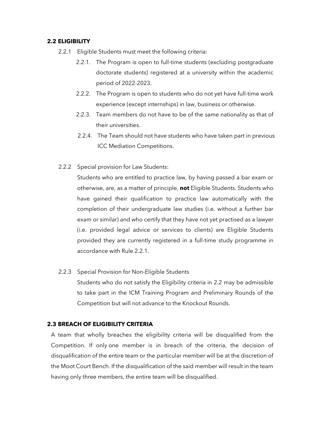#### **2.2 ELIGIBILITY**

- 2.2.1 Eligible Students must meet the following criteria:
	- 2.2.1. The Program is open to full-time students (excluding postgraduate doctorate students) registered at a university within the academic period of 2022-2023.
	- 2.2.2. The Program is open to students who do not yet have full-time work experience (except internships) in law, business or otherwise.
	- 2.2.3. Team members do not have to be of the same nationality as that of their universities.
	- 2.2.4. The Team should not have students who have taken part in previous ICC Mediation Competitions.
- 2.2.2 Special provision for Law Students:

Students who are entitled to practice law, by having passed a bar exam or otherwise, are, as a matter of principle, **not** Eligible Students. Students who have gained their qualification to practice law automatically with the completion of their undergraduate law studies (i.e. without a further bar exam or similar) and who certify that they have not yet practised as a lawyer (i.e. provided legal advice or services to clients) are Eligible Students provided they are currently registered in a full-time study programme in accordance with Rule 2.2.1.

2.2.3 Special Provision for Non-Eligible Students

Students who do not satisfy the Eligibility criteria in 2.2 may be admissible to take part in the ICM Training Program and Preliminary Rounds of the Competition but will not advance to the Knockout Rounds.

#### **2.3 BREACH OF ELIGIBILITY CRITERIA**

A team that wholly breaches the eligibility criteria will be disqualified from the Competition. If only one member is in breach of the criteria, the decision of disqualification of the entire team or the particular member will be at the discretion of the Moot Court Bench. If the disqualification of the said member will result in the team having only three members, the entire team will be disqualified.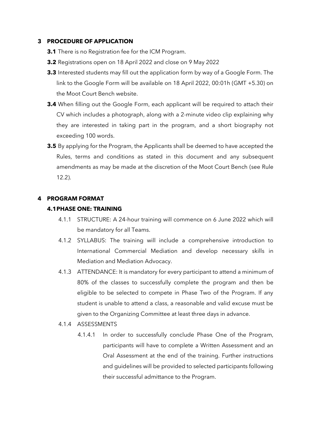#### **3 PROCEDURE OF APPLICATION**

- **3.1** There is no Registration fee for the ICM Program.
- **3.2** Registrations open on 18 April 2022 and close on 9 May 2022
- **3.3** Interested students may fill out the application form by way of a Google Form. The link to the Google Form will be available on 18 April 2022, 00:01h (GMT +5.30) on the Moot Court Bench website.
- **3.4** When filling out the Google Form, each applicant will be required to attach their CV which includes a photograph, along with a 2-minute video clip explaining why they are interested in taking part in the program, and a short biography not exceeding 100 words.
- **3.5** By applying for the Program, the Applicants shall be deemed to have accepted the Rules, terms and conditions as stated in this document and any subsequent amendments as may be made at the discretion of the Moot Court Bench (see Rule 12.2).

#### **4 PROGRAM FORMAT**

#### **4.1PHASE ONE: TRAINING**

- 4.1.1 STRUCTURE: A 24-hour training will commence on 6 June 2022 which will be mandatory for all Teams.
- 4.1.2 SYLLABUS: The training will include a comprehensive introduction to International Commercial Mediation and develop necessary skills in Mediation and Mediation Advocacy.
- 4.1.3 ATTENDANCE: It is mandatory for every participant to attend a minimum of 80% of the classes to successfully complete the program and then be eligible to be selected to compete in Phase Two of the Program. If any student is unable to attend a class, a reasonable and valid excuse must be given to the Organizing Committee at least three days in advance.
- 4.1.4 ASSESSMENTS
	- 4.1.4.1 In order to successfully conclude Phase One of the Program, participants will have to complete a Written Assessment and an Oral Assessment at the end of the training. Further instructions and guidelines will be provided to selected participants following their successful admittance to the Program.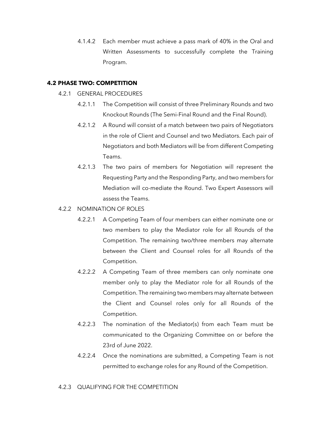4.1.4.2 Each member must achieve a pass mark of 40% in the Oral and Written Assessments to successfully complete the Training Program.

#### **4.2 PHASE TWO: COMPETITION**

- 4.2.1 GENERAL PROCEDURES
	- 4.2.1.1 The Competition will consist of three Preliminary Rounds and two Knockout Rounds (The Semi-Final Round and the Final Round).
	- 4.2.1.2 A Round will consist of a match between two pairs of Negotiators in the role of Client and Counsel and two Mediators. Each pair of Negotiators and both Mediators will be from different Competing Teams.
	- 4.2.1.3 The two pairs of members for Negotiation will represent the Requesting Party and the Responding Party, and two members for Mediation will co-mediate the Round. Two Expert Assessors will assess the Teams.
- 4.2.2 NOMINATION OF ROLES
	- 4.2.2.1 A Competing Team of four members can either nominate one or two members to play the Mediator role for all Rounds of the Competition. The remaining two/three members may alternate between the Client and Counsel roles for all Rounds of the Competition.
	- 4.2.2.2 A Competing Team of three members can only nominate one member only to play the Mediator role for all Rounds of the Competition. The remaining two members may alternate between the Client and Counsel roles only for all Rounds of the Competition.
	- 4.2.2.3 The nomination of the Mediator(s) from each Team must be communicated to the Organizing Committee on or before the 23rd of June 2022.
	- 4.2.2.4 Once the nominations are submitted, a Competing Team is not permitted to exchange roles for any Round of the Competition.

# 4.2.3 QUALIFYING FOR THE COMPETITION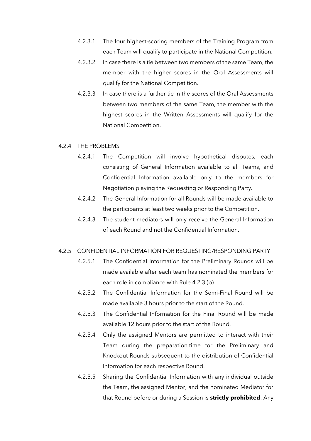- 4.2.3.1 The four highest-scoring members of the Training Program from each Team will qualify to participate in the National Competition.
- 4.2.3.2 In case there is a tie between two members of the same Team, the member with the higher scores in the Oral Assessments will qualify for the National Competition.
- 4.2.3.3 In case there is a further tie in the scores of the Oral Assessments between two members of the same Team, the member with the highest scores in the Written Assessments will qualify for the National Competition.

#### 4.2.4 THE PROBLEMS

- 4.2.4.1 The Competition will involve hypothetical disputes, each consisting of General Information available to all Teams, and Confidential Information available only to the members for Negotiation playing the Requesting or Responding Party.
- 4.2.4.2 The General Information for all Rounds will be made available to the participants at least two weeks prior to the Competition.
- 4.2.4.3 The student mediators will only receive the General Information of each Round and not the Confidential Information.

#### 4.2.5 CONFIDENTIAL INFORMATION FOR REQUESTING/RESPONDING PARTY

- 4.2.5.1 The Confidential Information for the Preliminary Rounds will be made available after each team has nominated the members for each role in compliance with Rule 4.2.3 (b).
- 4.2.5.2 The Confidential Information for the Semi-Final Round will be made available 3 hours prior to the start of the Round.
- 4.2.5.3 The Confidential Information for the Final Round will be made available 12 hours prior to the start of the Round.
- 4.2.5.4 Only the assigned Mentors are permitted to interact with their Team during the preparation time for the Preliminary and Knockout Rounds subsequent to the distribution of Confidential Information for each respective Round.
- 4.2.5.5 Sharing the Confidential Information with any individual outside the Team, the assigned Mentor, and the nominated Mediator for that Round before or during a Session is **strictly prohibited**. Any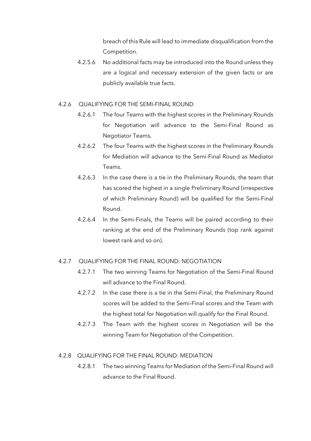breach of this Rule will lead to immediate disqualification from the Competition.

4.2.5.6 No additional facts may be introduced into the Round unless they are a logical and necessary extension of the given facts or are publicly available true facts.

#### 4.2.6 QUALIFYING FOR THE SEMI-FINAL ROUND

- 4.2.6.1 The four Teams with the highest scores in the Preliminary Rounds for Negotiation will advance to the Semi-Final Round as Negotiator Teams.
- 4.2.6.2 The four Teams with the highest scores in the Preliminary Rounds for Mediation will advance to the Semi-Final Round as Mediator Teams.
- 4.2.6.3 In the case there is a tie in the Preliminary Rounds, the team that has scored the highest in a single Preliminary Round (irrespective of which Preliminary Round) will be qualified for the Semi-Final Round.
- 4.2.6.4 In the Semi-Finals, the Teams will be paired according to their ranking at the end of the Preliminary Rounds (top rank against lowest rank and so on).

#### 4.2.7 QUALIFYING FOR THE FINAL ROUND: NEGOTIATION

- 4.2.7.1 The two winning Teams for Negotiation of the Semi-Final Round will advance to the Final Round.
- 4.2.7.2 In the case there is a tie in the Semi-Final, the Preliminary Round scores will be added to the Semi-Final scores and the Team with the highest total for Negotiation will qualify for the Final Round.
- 4.2.7.3 The Team with the highest scores in Negotiation will be the winning Team for Negotiation of the Competition.

#### 4.2.8 QUALIFYING FOR THE FINAL ROUND: MEDIATION

4.2.8.1 The two winning Teams for Mediation of the Semi-Final Round will advance to the Final Round.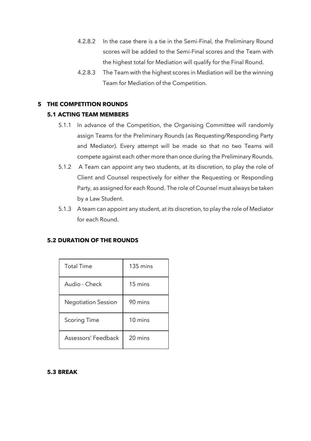- 4.2.8.2 In the case there is a tie in the Semi-Final, the Preliminary Round scores will be added to the Semi-Final scores and the Team with the highest total for Mediation will qualify for the Final Round.
- 4.2.8.3 The Team with the highest scores in Mediation will be the winning Team for Mediation of the Competition.

# **5 THE COMPETITION ROUNDS**

# **5.1 ACTING TEAM MEMBERS**

- 5.1.1 In advance of the Competition, the Organising Committee will randomly assign Teams for the Preliminary Rounds (as Requesting/Responding Party and Mediator). Every attempt will be made so that no two Teams will compete against each other more than once during the Preliminary Rounds.
- 5.1.2 A Team can appoint any two students, at its discretion, to play the role of Client and Counsel respectively for either the Requesting or Responding Party, as assigned for each Round. The role of Counsel must always be taken by a Law Student.
- 5.1.3 A team can appoint any student, at its discretion, to play the role of Mediator for each Round.

#### **5.2 DURATION OF THE ROUNDS**

| Total Time                 | $135 \text{ mins}$ |
|----------------------------|--------------------|
| Audio - Check              | 15 mins            |
| <b>Negotiation Session</b> | 90 mins            |
| <b>Scoring Time</b>        | $10 \text{ mins}$  |
| Assessors' Feedback        | 20 mins            |

#### **5.3 BREAK**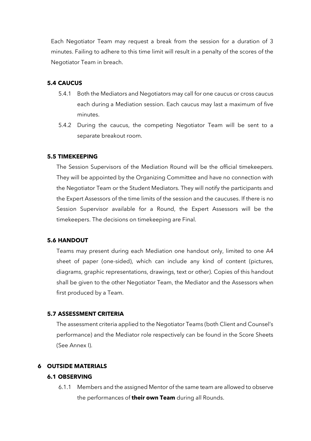Each Negotiator Team may request a break from the session for a duration of 3 minutes. Failing to adhere to this time limit will result in a penalty of the scores of the Negotiator Team in breach.

### **5.4 CAUCUS**

- 5.4.1 Both the Mediators and Negotiators may call for one caucus or cross caucus each during a Mediation session. Each caucus may last a maximum of five minutes.
- 5.4.2 During the caucus, the competing Negotiator Team will be sent to a separate breakout room.

#### **5.5 TIMEKEEPING**

The Session Supervisors of the Mediation Round will be the official timekeepers. They will be appointed by the Organizing Committee and have no connection with the Negotiator Team or the Student Mediators. They will notify the participants and the Expert Assessors of the time limits of the session and the caucuses. If there is no Session Supervisor available for a Round, the Expert Assessors will be the timekeepers. The decisions on timekeeping are Final.

#### **5.6 HANDOUT**

Teams may present during each Mediation one handout only, limited to one A4 sheet of paper (one-sided), which can include any kind of content (pictures, diagrams, graphic representations, drawings, text or other). Copies of this handout shall be given to the other Negotiator Team, the Mediator and the Assessors when first produced by a Team.

#### **5.7 ASSESSMENT CRITERIA**

The assessment criteria applied to the Negotiator Teams (both Client and Counsel's performance) and the Mediator role respectively can be found in the Score Sheets (See Annex I).

#### **6 OUTSIDE MATERIALS**

### **6.1 OBSERVING**

6.1.1 Members and the assigned Mentor of the same team are allowed to observe the performances of **their own Team** during all Rounds.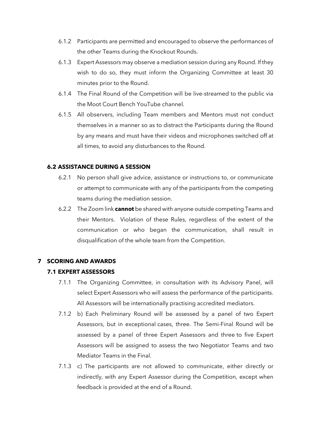- 6.1.2 Participants are permitted and encouraged to observe the performances of the other Teams during the Knockout Rounds.
- 6.1.3 Expert Assessors may observe a mediation session during any Round. If they wish to do so, they must inform the Organizing Committee at least 30 minutes prior to the Round.
- 6.1.4 The Final Round of the Competition will be live-streamed to the public via the Moot Court Bench YouTube channel.
- 6.1.5 All observers, including Team members and Mentors must not conduct themselves in a manner so as to distract the Participants during the Round by any means and must have their videos and microphones switched off at all times, to avoid any disturbances to the Round.

#### **6.2 ASSISTANCE DURING A SESSION**

- 6.2.1 No person shall give advice, assistance or instructions to, or communicate or attempt to communicate with any of the participants from the competing teams during the mediation session.
- 6.2.2 The Zoom link **cannot** be shared with anyone outside competing Teams and their Mentors. Violation of these Rules, regardless of the extent of the communication or who began the communication, shall result in disqualification of the whole team from the Competition.

# **7 SCORING AND AWARDS**

# **7.1 EXPERT ASSESSORS**

- 7.1.1 The Organizing Committee, in consultation with its Advisory Panel, will select Expert Assessors who will assess the performance of the participants. All Assessors will be internationally practising accredited mediators.
- 7.1.2 b) Each Preliminary Round will be assessed by a panel of two Expert Assessors, but in exceptional cases, three. The Semi-Final Round will be assessed by a panel of three Expert Assessors and three to five Expert Assessors will be assigned to assess the two Negotiator Teams and two Mediator Teams in the Final.
- 7.1.3 c) The participants are not allowed to communicate, either directly or indirectly, with any Expert Assessor during the Competition, except when feedback is provided at the end of a Round.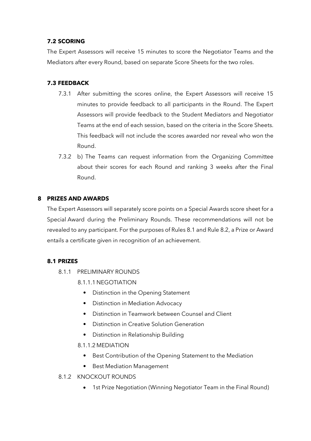# **7.2 SCORING**

The Expert Assessors will receive 15 minutes to score the Negotiator Teams and the Mediators after every Round, based on separate Score Sheets for the two roles.

# **7.3 FEEDBACK**

- 7.3.1 After submitting the scores online, the Expert Assessors will receive 15 minutes to provide feedback to all participants in the Round. The Expert Assessors will provide feedback to the Student Mediators and Negotiator Teams at the end of each session, based on the criteria in the Score Sheets. This feedback will not include the scores awarded nor reveal who won the Round.
- 7.3.2 b) The Teams can request information from the Organizing Committee about their scores for each Round and ranking 3 weeks after the Final Round.

# **8 PRIZES AND AWARDS**

The Expert Assessors will separately score points on a Special Awards score sheet for a Special Award during the Preliminary Rounds. These recommendations will not be revealed to any participant. For the purposes of Rules 8.1 and Rule 8.2, a Prize or Award entails a certificate given in recognition of an achievement.

# **8.1 PRIZES**

- 8.1.1 PRELIMINARY ROUNDS
	- 8.1.1.1 NEGOTIATION
		- Distinction in the Opening Statement
		- Distinction in Mediation Advocacy
		- Distinction in Teamwork between Counsel and Client
		- Distinction in Creative Solution Generation
		- Distinction in Relationship Building
	- 8.1.1.2 MEDIATION
		- Best Contribution of the Opening Statement to the Mediation
		- **Best Mediation Management**
- 8.1.2 KNOCKOUT ROUNDS
	- 1st Prize Negotiation (Winning Negotiator Team in the Final Round)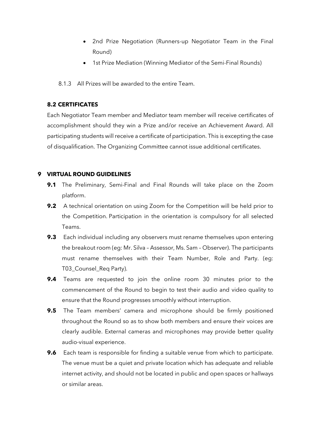- 2nd Prize Negotiation (Runners-up Negotiator Team in the Final Round)
- 1st Prize Mediation (Winning Mediator of the Semi-Final Rounds)
- 8.1.3 All Prizes will be awarded to the entire Team.

# **8.2 CERTIFICATES**

Each Negotiator Team member and Mediator team member will receive certificates of accomplishment should they win a Prize and/or receive an Achievement Award. All participating students will receive a certificate of participation. This is excepting the case of disqualification. The Organizing Committee cannot issue additional certificates.

# **9 VIRTUAL ROUND GUIDELINES**

- **9.1** The Preliminary, Semi-Final and Final Rounds will take place on the Zoom platform.
- **9.2** A technical orientation on using Zoom for the Competition will be held prior to the Competition. Participation in the orientation is compulsory for all selected Teams.
- **9.3** Each individual including any observers must rename themselves upon entering the breakout room (eg: Mr. Silva – Assessor, Ms. Sam – Observer). The participants must rename themselves with their Team Number, Role and Party. (eg: T03\_Counsel\_Req Party).
- **9.4** Teams are requested to join the online room 30 minutes prior to the commencement of the Round to begin to test their audio and video quality to ensure that the Round progresses smoothly without interruption.
- **9.5** The Team members' camera and microphone should be firmly positioned throughout the Round so as to show both members and ensure their voices are clearly audible. External cameras and microphones may provide better quality audio-visual experience.
- **9.6** Each team is responsible for finding a suitable venue from which to participate. The venue must be a quiet and private location which has adequate and reliable internet activity, and should not be located in public and open spaces or hallways or similar areas.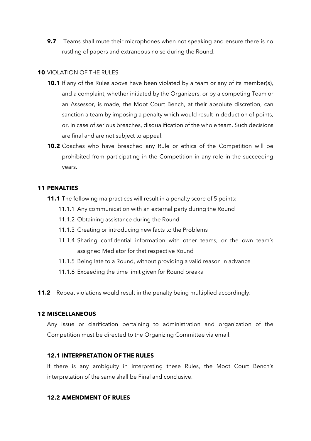**9.7** Teams shall mute their microphones when not speaking and ensure there is no rustling of papers and extraneous noise during the Round.

#### **10** VIOLATION OF THE RULES

- **10.1** If any of the Rules above have been violated by a team or any of its member(s), and a complaint, whether initiated by the Organizers, or by a competing Team or an Assessor, is made, the Moot Court Bench, at their absolute discretion, can sanction a team by imposing a penalty which would result in deduction of points, or, in case of serious breaches, disqualification of the whole team. Such decisions are final and are not subject to appeal.
- **10.2** Coaches who have breached any Rule or ethics of the Competition will be prohibited from participating in the Competition in any role in the succeeding years.

#### **11 PENALTIES**

- **11.1** The following malpractices will result in a penalty score of 5 points:
	- 11.1.1 Any communication with an external party during the Round
	- 11.1.2 Obtaining assistance during the Round
	- 11.1.3 Creating or introducing new facts to the Problems
	- 11.1.4 Sharing confidential information with other teams, or the own team's assigned Mediator for that respective Round
	- 11.1.5 Being late to a Round, without providing a valid reason in advance
	- 11.1.6 Exceeding the time limit given for Round breaks
- **11.2** Repeat violations would result in the penalty being multiplied accordingly.

#### **12 MISCELLANEOUS**

Any issue or clarification pertaining to administration and organization of the Competition must be directed to the Organizing Committee via email.

#### **12.1 INTERPRETATION OF THE RULES**

If there is any ambiguity in interpreting these Rules, the Moot Court Bench's interpretation of the same shall be Final and conclusive.

#### **12.2 AMENDMENT OF RULES**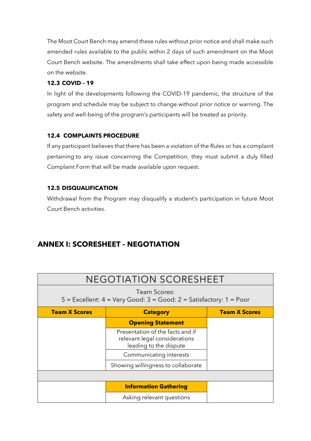The Moot Court Bench may amend these rules without prior notice and shall make such amended rules available to the public within 2 days of such amendment on the Moot Court Bench website. The amendments shall take effect upon being made accessible on the website.

# **12.3 COVID – 19**

In light of the developments following the COVID-19 pandemic, the structure of the program and schedule may be subject to change without prior notice or warning. The safety and well-being of the program's participants will be treated as priority.

# **12.4 COMPLAINTS PROCEDURE**

If any participant believes that there has been a violation of the Rules or has a complaint pertaining to any issue concerning the Competition, they must submit a duly filled Complaint Form that will be made available upon request.

# **12.5 DISQUALIFICATION**

Withdrawal from the Program may disqualify a student's participation in future Moot Court Bench activities.

# **ANNEX I: SCORESHEET – NEGOTIATION**

| <b>NEGOTIATION SCORESHEET</b>                                                                |                                                                                             |                      |
|----------------------------------------------------------------------------------------------|---------------------------------------------------------------------------------------------|----------------------|
| Team Scores:<br>$5$ = Excellent: $4$ = Very Good: $3$ = Good: $2$ = Satisfactory: $1$ = Poor |                                                                                             |                      |
| <b>Team X Scores</b>                                                                         | <b>Category</b>                                                                             | <b>Team X Scores</b> |
|                                                                                              | <b>Opening Statement</b>                                                                    |                      |
|                                                                                              | Presentation of the facts and if<br>relevant legal considerations<br>leading to the dispute |                      |
|                                                                                              | Communicating interests                                                                     |                      |
|                                                                                              | Showing willingness to collaborate                                                          |                      |
|                                                                                              |                                                                                             |                      |
|                                                                                              | <b>Information Gathering</b>                                                                |                      |
|                                                                                              | Asking relevant questions                                                                   |                      |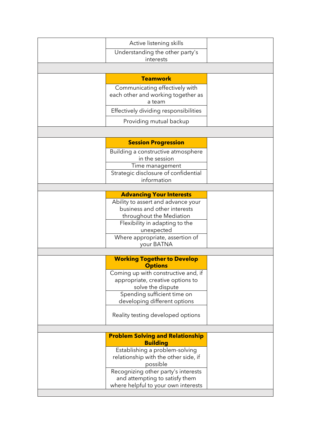| Active listening skills                               |  |
|-------------------------------------------------------|--|
| Understanding the other party's                       |  |
| interests                                             |  |
|                                                       |  |
| <b>Teamwork</b>                                       |  |
| Communicating effectively with                        |  |
| each other and working together as                    |  |
| a team                                                |  |
| Effectively dividing responsibilities                 |  |
| Providing mutual backup                               |  |
|                                                       |  |
| <b>Session Progression</b>                            |  |
| Building a constructive atmosphere                    |  |
| in the session                                        |  |
| Time management                                       |  |
| Strategic disclosure of confidential                  |  |
| information                                           |  |
| <b>Advancing Your Interests</b>                       |  |
| Ability to assert and advance your                    |  |
| business and other interests                          |  |
| throughout the Mediation                              |  |
| Flexibility in adapting to the                        |  |
| unexpected                                            |  |
| Where appropriate, assertion of<br>your BATNA         |  |
|                                                       |  |
| <b>Working Together to Develop</b>                    |  |
| <b>Options</b>                                        |  |
| Coming up with constructive and, if                   |  |
| appropriate, creative options to<br>solve the dispute |  |
| Spending sufficient time on                           |  |
| developing different options                          |  |
|                                                       |  |
| Reality testing developed options                     |  |
|                                                       |  |
| <b>Problem Solving and Relationship</b>               |  |
| <b>Building</b>                                       |  |
| Establishing a problem-solving                        |  |
| relationship with the other side, if<br>possible      |  |
| Recognizing other party's interests                   |  |
| and attempting to satisfy them                        |  |
| where helpful to your own interests                   |  |
|                                                       |  |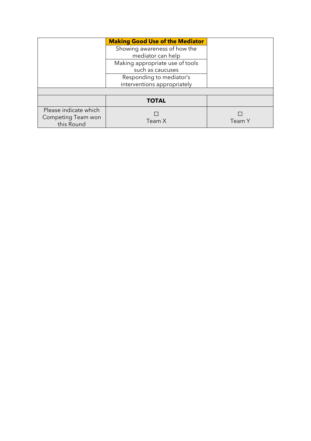|                       | <b>Making Good Use of the Mediator</b> |        |
|-----------------------|----------------------------------------|--------|
|                       | Showing awareness of how the           |        |
|                       | mediator can help                      |        |
|                       | Making appropriate use of tools        |        |
|                       | such as caucuses                       |        |
|                       | Responding to mediator's               |        |
|                       | interventions appropriately            |        |
|                       |                                        |        |
|                       | <b>TOTAL</b>                           |        |
| Please indicate which |                                        |        |
| Competing Team won    | Team X                                 | Team Y |
| this Round            |                                        |        |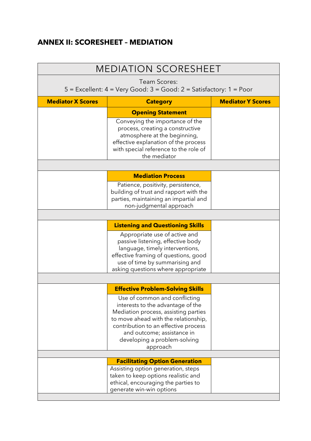# **ANNEX II: SCORESHEET – MEDIATION**

| <b>MEDIATION SCORESHEET</b> |                                                                                 |                          |
|-----------------------------|---------------------------------------------------------------------------------|--------------------------|
| <b>Team Scores:</b>         |                                                                                 |                          |
|                             | 5 = Excellent: 4 = Very Good: 3 = Good: 2 = Satisfactory: 1 = Poor              |                          |
| <b>Mediator X Scores</b>    | <b>Category</b>                                                                 | <b>Mediator Y Scores</b> |
|                             | <b>Opening Statement</b>                                                        |                          |
|                             | Conveying the importance of the                                                 |                          |
|                             | process, creating a constructive<br>atmosphere at the beginning,                |                          |
|                             | effective explanation of the process                                            |                          |
|                             | with special reference to the role of<br>the mediator                           |                          |
|                             |                                                                                 |                          |
|                             | <b>Mediation Process</b>                                                        |                          |
|                             | Patience, positivity, persistence,                                              |                          |
|                             | building of trust and rapport with the<br>parties, maintaining an impartial and |                          |
|                             | non-judgmental approach                                                         |                          |
|                             |                                                                                 |                          |
|                             | <b>Listening and Questioning Skills</b>                                         |                          |
|                             | Appropriate use of active and                                                   |                          |
|                             | passive listening, effective body<br>language, timely interventions,            |                          |
|                             | effective framing of questions, good                                            |                          |
|                             | use of time by summarising and                                                  |                          |
|                             | asking questions where appropriate                                              |                          |
|                             | <b>Effective Problem-Solving Skills</b>                                         |                          |
|                             | Use of common and conflicting                                                   |                          |
|                             | interests to the advantage of the                                               |                          |
|                             | Mediation process, assisting parties                                            |                          |
|                             | to move ahead with the relationship,<br>contribution to an effective process    |                          |
|                             | and outcome; assistance in                                                      |                          |
|                             | developing a problem-solving                                                    |                          |
|                             | approach                                                                        |                          |
|                             | <b>Facilitating Option Generation</b>                                           |                          |
|                             | Assisting option generation, steps                                              |                          |
|                             | taken to keep options realistic and<br>ethical, encouraging the parties to      |                          |
|                             | generate win-win options                                                        |                          |
|                             |                                                                                 |                          |